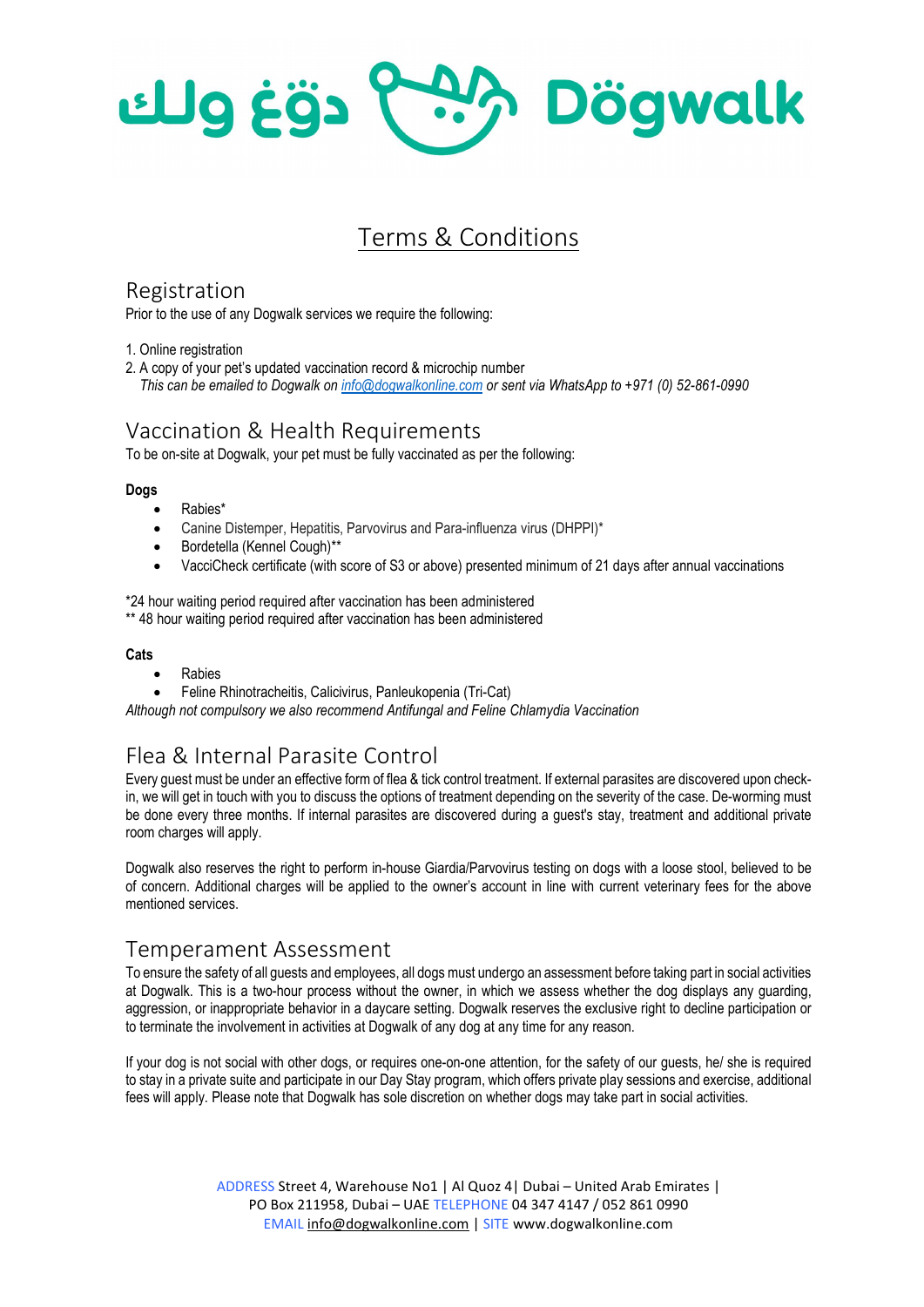PAA Dögwalk دقغ ولك

# Terms & Conditions

#### Registration

Prior to the use of any Dogwalk services we require the following:

1. Online registration

2. A copy of your pet's updated vaccination record & microchip number

This can be emailed to Dogwalk on info@dogwalkonline.com or sent via WhatsApp to +971 (0) 52-861-0990

## Vaccination & Health Requirements

To be on-site at Dogwalk, your pet must be fully vaccinated as per the following:

#### Dogs

- Rabies\*
- Canine Distemper, Hepatitis, Parvovirus and Para-influenza virus (DHPPI)\*
- Bordetella (Kennel Cough)\*\*
- VacciCheck certificate (with score of S3 or above) presented minimum of 21 days after annual vaccinations

\*24 hour waiting period required after vaccination has been administered \*\* 48 hour waiting period required after vaccination has been administered

#### **Cats**

- Rabies
- Feline Rhinotracheitis, Calicivirus, Panleukopenia (Tri-Cat)

Although not compulsory we also recommend Antifungal and Feline Chlamydia Vaccination

# Flea & Internal Parasite Control

Every guest must be under an effective form of flea & tick control treatment. If external parasites are discovered upon checkin, we will get in touch with you to discuss the options of treatment depending on the severity of the case. De-worming must be done every three months. If internal parasites are discovered during a guest's stay, treatment and additional private room charges will apply.

Dogwalk also reserves the right to perform in-house Giardia/Parvovirus testing on dogs with a loose stool, believed to be of concern. Additional charges will be applied to the owner's account in line with current veterinary fees for the above mentioned services.

## Temperament Assessment

To ensure the safety of all guests and employees, all dogs must undergo an assessment before taking part in social activities at Dogwalk. This is a two-hour process without the owner, in which we assess whether the dog displays any guarding, aggression, or inappropriate behavior in a daycare setting. Dogwalk reserves the exclusive right to decline participation or to terminate the involvement in activities at Dogwalk of any dog at any time for any reason.

If your dog is not social with other dogs, or requires one-on-one attention, for the safety of our guests, he/ she is required to stay in a private suite and participate in our Day Stay program, which offers private play sessions and exercise, additional fees will apply. Please note that Dogwalk has sole discretion on whether dogs may take part in social activities.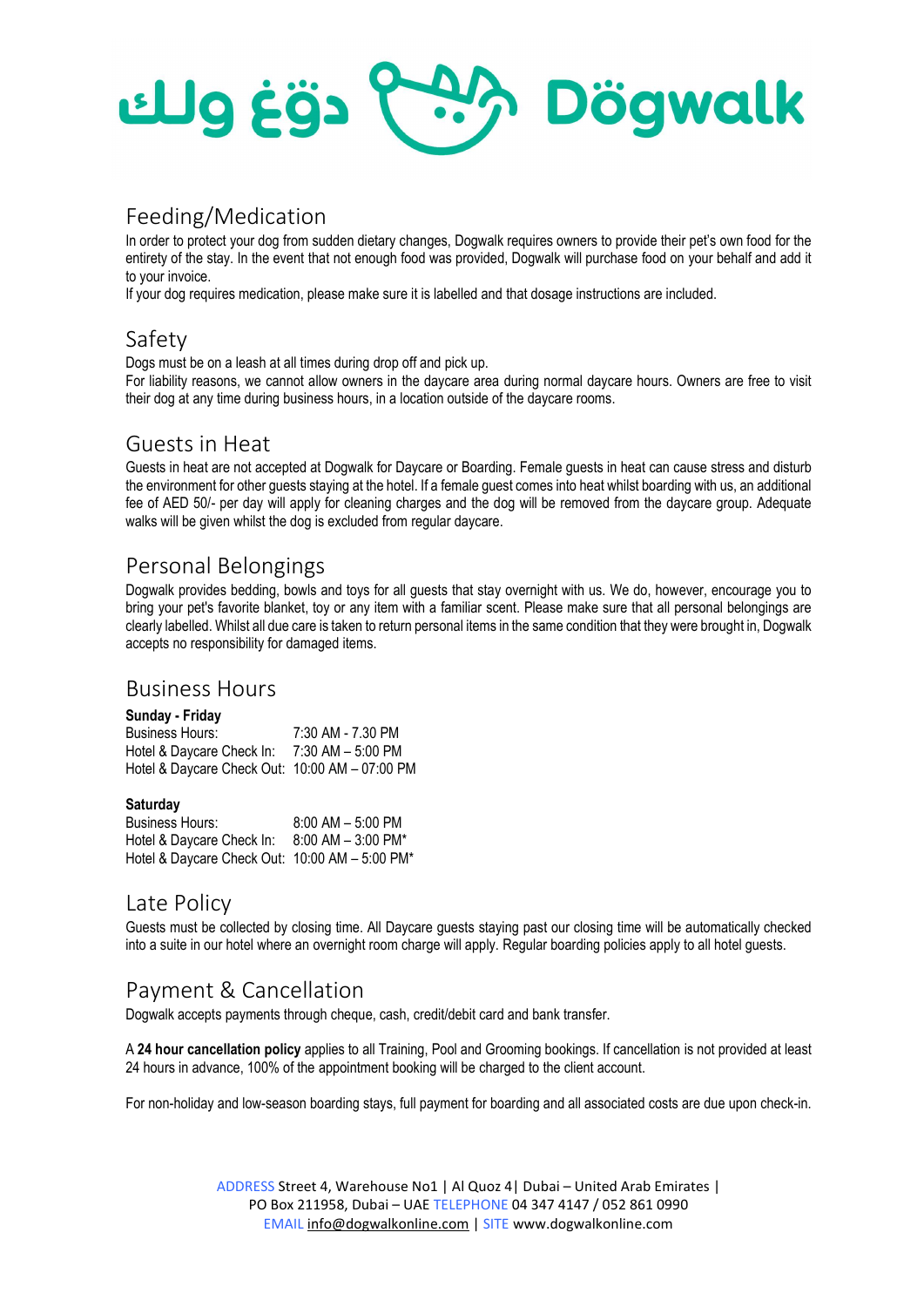

## Feeding/Medication

In order to protect your dog from sudden dietary changes, Dogwalk requires owners to provide their pet's own food for the entirety of the stay. In the event that not enough food was provided, Dogwalk will purchase food on your behalf and add it to your invoice.

If your dog requires medication, please make sure it is labelled and that dosage instructions are included.

# Safety

Dogs must be on a leash at all times during drop off and pick up.

For liability reasons, we cannot allow owners in the daycare area during normal daycare hours. Owners are free to visit their dog at any time during business hours, in a location outside of the daycare rooms.

#### Guests in Heat

Guests in heat are not accepted at Dogwalk for Daycare or Boarding. Female guests in heat can cause stress and disturb the environment for other guests staying at the hotel. If a female guest comes into heat whilst boarding with us, an additional fee of AED 50/- per day will apply for cleaning charges and the dog will be removed from the daycare group. Adequate walks will be given whilst the dog is excluded from regular daycare.

# Personal Belongings

Dogwalk provides bedding, bowls and toys for all guests that stay overnight with us. We do, however, encourage you to bring your pet's favorite blanket, toy or any item with a familiar scent. Please make sure that all personal belongings are clearly labelled. Whilst all due care is taken to return personal items in the same condition that they were brought in, Dogwalk accepts no responsibility for damaged items.

#### Business Hours

| Sunday - Friday                                |                   |
|------------------------------------------------|-------------------|
| Business Hours:                                | 7:30 AM - 7.30 PM |
| Hotel & Daycare Check In:                      | 7:30 AM - 5:00 PM |
| Hotel & Daycare Check Out: 10:00 AM - 07:00 PM |                   |

#### **Saturday**

| Business Hours:                                | $8:00$ AM $-5:00$ PM  |
|------------------------------------------------|-----------------------|
| Hotel & Daycare Check In:                      | $8:00$ AM $-3:00$ PM* |
| Hotel & Daycare Check Out: 10:00 AM - 5:00 PM* |                       |

## Late Policy

Guests must be collected by closing time. All Daycare guests staying past our closing time will be automatically checked into a suite in our hotel where an overnight room charge will apply. Regular boarding policies apply to all hotel guests.

# Payment & Cancellation

Dogwalk accepts payments through cheque, cash, credit/debit card and bank transfer.

A 24 hour cancellation policy applies to all Training, Pool and Grooming bookings. If cancellation is not provided at least 24 hours in advance, 100% of the appointment booking will be charged to the client account.

For non-holiday and low-season boarding stays, full payment for boarding and all associated costs are due upon check-in.